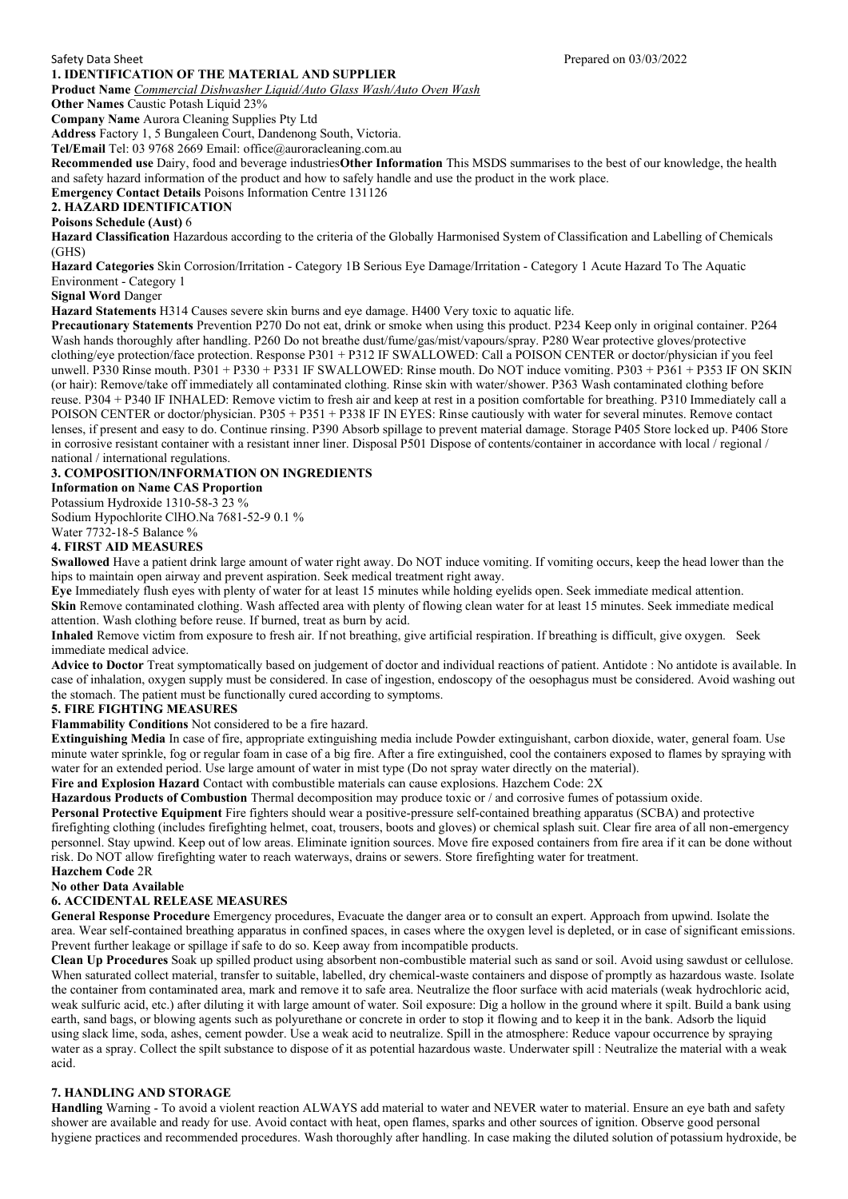### **1. IDENTIFICATION OF THE MATERIAL AND SUPPLIER**

**Product Name** *Commercial Dishwasher Liquid/Auto Glass Wash/Auto Oven Wash*

**Other Names Caustic Potash Liquid 23%** 

**Company Name** Aurora Cleaning Supplies Pty Ltd

**Address** Factory 1, 5 Bungaleen Court, Dandenong South, Victoria.

**Tel/Email** Tel: 03 9768 2669 Email: office@auroracleaning.com.au

**Recommended use** Dairy, food and beverage industries**Other Information** This MSDS summarises to the best of our knowledge, the health and safety hazard information of the product and how to safely handle and use the product in the work place.

**Emergency Contact Details** Poisons Information Centre 131126

# **2. HAZARD IDENTIFICATION**

## **Poisons Schedule (Aust)** 6

**Hazard Classification** Hazardous according to the criteria of the Globally Harmonised System of Classification and Labelling of Chemicals (GHS)

**Hazard Categories** Skin Corrosion/Irritation - Category 1B Serious Eye Damage/Irritation - Category 1 Acute Hazard To The Aquatic Environment - Category 1

### **Signal Word** Danger

**Hazard Statements** H314 Causes severe skin burns and eye damage. H400 Very toxic to aquatic life.

**Precautionary Statements** Prevention P270 Do not eat, drink or smoke when using this product. P234 Keep only in original container. P264 Wash hands thoroughly after handling. P260 Do not breathe dust/fume/gas/mist/vapours/spray. P280 Wear protective gloves/protective clothing/eye protection/face protection. Response P301 + P312 IF SWALLOWED: Call a POISON CENTER or doctor/physician if you feel unwell. P330 Rinse mouth. P301 + P330 + P331 IF SWALLOWED: Rinse mouth. Do NOT induce vomiting. P303 + P361 + P353 IF ON SKIN (or hair): Remove/take off immediately all contaminated clothing. Rinse skin with water/shower. P363 Wash contaminated clothing before reuse. P304 + P340 IF INHALED: Remove victim to fresh air and keep at rest in a position comfortable for breathing. P310 Immediately call a POISON CENTER or doctor/physician. P305 + P351 + P338 IF IN EYES: Rinse cautiously with water for several minutes. Remove contact lenses, if present and easy to do. Continue rinsing. P390 Absorb spillage to prevent material damage. Storage P405 Store locked up. P406 Store in corrosive resistant container with a resistant inner liner. Disposal P501 Dispose of contents/container in accordance with local / regional / national / international regulations.

### **3. COMPOSITION/INFORMATION ON INGREDIENTS**

### **Information on Name CAS Proportion**

Potassium Hydroxide 1310-58-3 23 %

Sodium Hypochlorite ClHO.Na 7681-52-9 0.1 %

# Water 7732-18-5 Balance %

## **4. FIRST AID MEASURES**

**Swallowed** Have a patient drink large amount of water right away. Do NOT induce vomiting. If vomiting occurs, keep the head lower than the hips to maintain open airway and prevent aspiration. Seek medical treatment right away.

**Eye** Immediately flush eyes with plenty of water for at least 15 minutes while holding eyelids open. Seek immediate medical attention. **Skin** Remove contaminated clothing. Wash affected area with plenty of flowing clean water for at least 15 minutes. Seek immediate medical attention. Wash clothing before reuse. If burned, treat as burn by acid.

**Inhaled** Remove victim from exposure to fresh air. If not breathing, give artificial respiration. If breathing is difficult, give oxygen. Seek immediate medical advice.

**Advice to Doctor** Treat symptomatically based on judgement of doctor and individual reactions of patient. Antidote : No antidote is available. In case of inhalation, oxygen supply must be considered. In case of ingestion, endoscopy of the oesophagus must be considered. Avoid washing out the stomach. The patient must be functionally cured according to symptoms.

### **5. FIRE FIGHTING MEASURES**

**Flammability Conditions** Not considered to be a fire hazard.

**Extinguishing Media** In case of fire, appropriate extinguishing media include Powder extinguishant, carbon dioxide, water, general foam. Use minute water sprinkle, fog or regular foam in case of a big fire. After a fire extinguished, cool the containers exposed to flames by spraying with water for an extended period. Use large amount of water in mist type (Do not spray water directly on the material).

**Fire and Explosion Hazard** Contact with combustible materials can cause explosions. Hazchem Code: 2X

**Hazardous Products of Combustion** Thermal decomposition may produce toxic or / and corrosive fumes of potassium oxide.

**Personal Protective Equipment** Fire fighters should wear a positive-pressure self-contained breathing apparatus (SCBA) and protective firefighting clothing (includes firefighting helmet, coat, trousers, boots and gloves) or chemical splash suit. Clear fire area of all non-emergency personnel. Stay upwind. Keep out of low areas. Eliminate ignition sources. Move fire exposed containers from fire area if it can be done without risk. Do NOT allow firefighting water to reach waterways, drains or sewers. Store firefighting water for treatment.

# **Hazchem Code** 2R

# **No other Data Available**

### **6. ACCIDENTAL RELEASE MEASURES**

**General Response Procedure** Emergency procedures, Evacuate the danger area or to consult an expert. Approach from upwind. Isolate the area. Wear self-contained breathing apparatus in confined spaces, in cases where the oxygen level is depleted, or in case of significant emissions. Prevent further leakage or spillage if safe to do so. Keep away from incompatible products.

**Clean Up Procedures** Soak up spilled product using absorbent non-combustible material such as sand or soil. Avoid using sawdust or cellulose. When saturated collect material, transfer to suitable, labelled, dry chemical-waste containers and dispose of promptly as hazardous waste. Isolate the container from contaminated area, mark and remove it to safe area. Neutralize the floor surface with acid materials (weak hydrochloric acid, weak sulfuric acid, etc.) after diluting it with large amount of water. Soil exposure: Dig a hollow in the ground where it spilt. Build a bank using earth, sand bags, or blowing agents such as polyurethane or concrete in order to stop it flowing and to keep it in the bank. Adsorb the liquid using slack lime, soda, ashes, cement powder. Use a weak acid to neutralize. Spill in the atmosphere: Reduce vapour occurrence by spraying water as a spray. Collect the spilt substance to dispose of it as potential hazardous waste. Underwater spill : Neutralize the material with a weak acid.

## **7. HANDLING AND STORAGE**

**Handling** Warning - To avoid a violent reaction ALWAYS add material to water and NEVER water to material. Ensure an eye bath and safety shower are available and ready for use. Avoid contact with heat, open flames, sparks and other sources of ignition. Observe good personal hygiene practices and recommended procedures. Wash thoroughly after handling. In case making the diluted solution of potassium hydroxide, be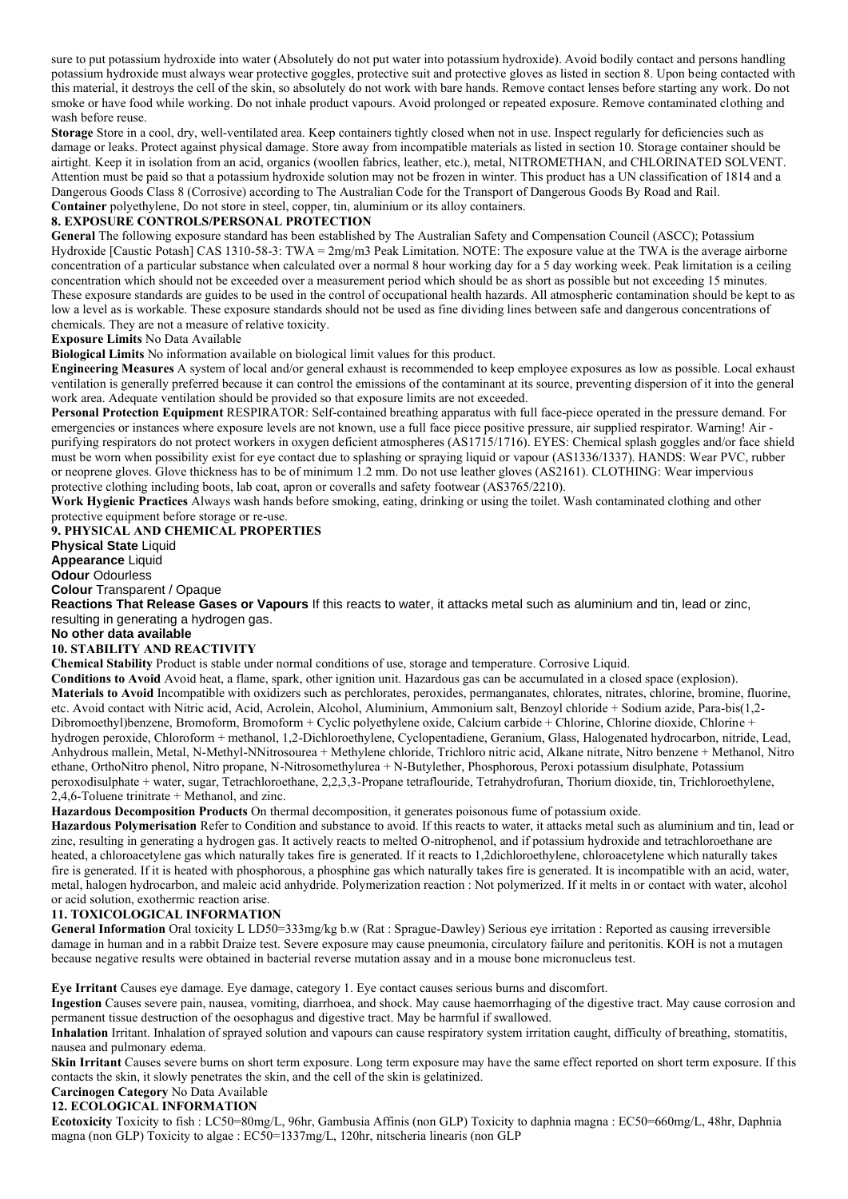sure to put potassium hydroxide into water (Absolutely do not put water into potassium hydroxide). Avoid bodily contact and persons handling potassium hydroxide must always wear protective goggles, protective suit and protective gloves as listed in section 8. Upon being contacted with this material, it destroys the cell of the skin, so absolutely do not work with bare hands. Remove contact lenses before starting any work. Do not smoke or have food while working. Do not inhale product vapours. Avoid prolonged or repeated exposure. Remove contaminated clothing and wash before reuse.

**Storage** Store in a cool, dry, well-ventilated area. Keep containers tightly closed when not in use. Inspect regularly for deficiencies such as damage or leaks. Protect against physical damage. Store away from incompatible materials as listed in section 10. Storage container should be airtight. Keep it in isolation from an acid, organics (woollen fabrics, leather, etc.), metal, NITROMETHAN, and CHLORINATED SOLVENT. Attention must be paid so that a potassium hydroxide solution may not be frozen in winter. This product has a UN classification of 1814 and a Dangerous Goods Class 8 (Corrosive) according to The Australian Code for the Transport of Dangerous Goods By Road and Rail. **Container** polyethylene, Do not store in steel, copper, tin, aluminium or its alloy containers.

### **8. EXPOSURE CONTROLS/PERSONAL PROTECTION**

**General** The following exposure standard has been established by The Australian Safety and Compensation Council (ASCC); Potassium Hydroxide [Caustic Potash] CAS 1310-58-3: TWA = 2mg/m3 Peak Limitation. NOTE: The exposure value at the TWA is the average airborne concentration of a particular substance when calculated over a normal 8 hour working day for a 5 day working week. Peak limitation is a ceiling concentration which should not be exceeded over a measurement period which should be as short as possible but not exceeding 15 minutes. These exposure standards are guides to be used in the control of occupational health hazards. All atmospheric contamination should be kept to as low a level as is workable. These exposure standards should not be used as fine dividing lines between safe and dangerous concentrations of chemicals. They are not a measure of relative toxicity.

**Exposure Limits** No Data Available

**Biological Limits** No information available on biological limit values for this product.

**Engineering Measures** A system of local and/or general exhaust is recommended to keep employee exposures as low as possible. Local exhaust ventilation is generally preferred because it can control the emissions of the contaminant at its source, preventing dispersion of it into the general work area. Adequate ventilation should be provided so that exposure limits are not exceeded.

**Personal Protection Equipment** RESPIRATOR: Self-contained breathing apparatus with full face-piece operated in the pressure demand. For emergencies or instances where exposure levels are not known, use a full face piece positive pressure, air supplied respirator. Warning! Air purifying respirators do not protect workers in oxygen deficient atmospheres (AS1715/1716). EYES: Chemical splash goggles and/or face shield must be worn when possibility exist for eye contact due to splashing or spraying liquid or vapour (AS1336/1337). HANDS: Wear PVC, rubber or neoprene gloves. Glove thickness has to be of minimum 1.2 mm. Do not use leather gloves (AS2161). CLOTHING: Wear impervious protective clothing including boots, lab coat, apron or coveralls and safety footwear (AS3765/2210).

**Work Hygienic Practices** Always wash hands before smoking, eating, drinking or using the toilet. Wash contaminated clothing and other protective equipment before storage or re-use.

**9. PHYSICAL AND CHEMICAL PROPERTIES Physical State** Liquid **Appearance** Liquid

**Odour** Odourless

**Colour** Transparent / Opaque

**Reactions That Release Gases or Vapours** If this reacts to water, it attacks metal such as aluminium and tin, lead or zinc, resulting in generating a hydrogen gas.

**No other data available**

## **10. STABILITY AND REACTIVITY**

**Chemical Stability** Product is stable under normal conditions of use, storage and temperature. Corrosive Liquid.

**Conditions to Avoid** Avoid heat, a flame, spark, other ignition unit. Hazardous gas can be accumulated in a closed space (explosion). **Materials to Avoid** Incompatible with oxidizers such as perchlorates, peroxides, permanganates, chlorates, nitrates, chlorine, bromine, fluorine, etc. Avoid contact with Nitric acid, Acid, Acrolein, Alcohol, Aluminium, Ammonium salt, Benzoyl chloride + Sodium azide, Para-bis(1,2- Dibromoethyl)benzene, Bromoform, Bromoform + Cyclic polyethylene oxide, Calcium carbide + Chlorine, Chlorine dioxide, Chlorine + hydrogen peroxide, Chloroform + methanol, 1,2-Dichloroethylene, Cyclopentadiene, Geranium, Glass, Halogenated hydrocarbon, nitride, Lead, Anhydrous mallein, Metal, N-Methyl-NNitrosourea + Methylene chloride, Trichloro nitric acid, Alkane nitrate, Nitro benzene + Methanol, Nitro ethane, OrthoNitro phenol, Nitro propane, N-Nitrosomethylurea + N-Butylether, Phosphorous, Peroxi potassium disulphate, Potassium peroxodisulphate + water, sugar, Tetrachloroethane, 2,2,3,3-Propane tetraflouride, Tetrahydrofuran, Thorium dioxide, tin, Trichloroethylene, 2,4,6-Toluene trinitrate + Methanol, and zinc.

**Hazardous Decomposition Products** On thermal decomposition, it generates poisonous fume of potassium oxide.

**Hazardous Polymerisation** Refer to Condition and substance to avoid. If this reacts to water, it attacks metal such as aluminium and tin, lead or zinc, resulting in generating a hydrogen gas. It actively reacts to melted O-nitrophenol, and if potassium hydroxide and tetrachloroethane are heated, a chloroacetylene gas which naturally takes fire is generated. If it reacts to 1,2dichloroethylene, chloroacetylene which naturally takes fire is generated. If it is heated with phosphorous, a phosphine gas which naturally takes fire is generated. It is incompatible with an acid, water, metal, halogen hydrocarbon, and maleic acid anhydride. Polymerization reaction : Not polymerized. If it melts in or contact with water, alcohol or acid solution, exothermic reaction arise.

#### **11. TOXICOLOGICAL INFORMATION**

**General Information** Oral toxicity L LD50=333mg/kg b.w (Rat : Sprague-Dawley) Serious eye irritation : Reported as causing irreversible damage in human and in a rabbit Draize test. Severe exposure may cause pneumonia, circulatory failure and peritonitis. KOH is not a mutagen because negative results were obtained in bacterial reverse mutation assay and in a mouse bone micronucleus test.

**Eye Irritant** Causes eye damage. Eye damage, category 1. Eye contact causes serious burns and discomfort.

**Ingestion** Causes severe pain, nausea, vomiting, diarrhoea, and shock. May cause haemorrhaging of the digestive tract. May cause corrosion and permanent tissue destruction of the oesophagus and digestive tract. May be harmful if swallowed.

**Inhalation** Irritant. Inhalation of sprayed solution and vapours can cause respiratory system irritation caught, difficulty of breathing, stomatitis, nausea and pulmonary edema.

**Skin Irritant** Causes severe burns on short term exposure. Long term exposure may have the same effect reported on short term exposure. If this contacts the skin, it slowly penetrates the skin, and the cell of the skin is gelatinized.

**Carcinogen Category** No Data Available

#### **12. ECOLOGICAL INFORMATION**

**Ecotoxicity** Toxicity to fish : LC50=80mg/L, 96hr, Gambusia Affinis (non GLP) Toxicity to daphnia magna : EC50=660mg/L, 48hr, Daphnia magna (non GLP) Toxicity to algae : EC50=1337mg/L, 120hr, nitscheria linearis (non GLP